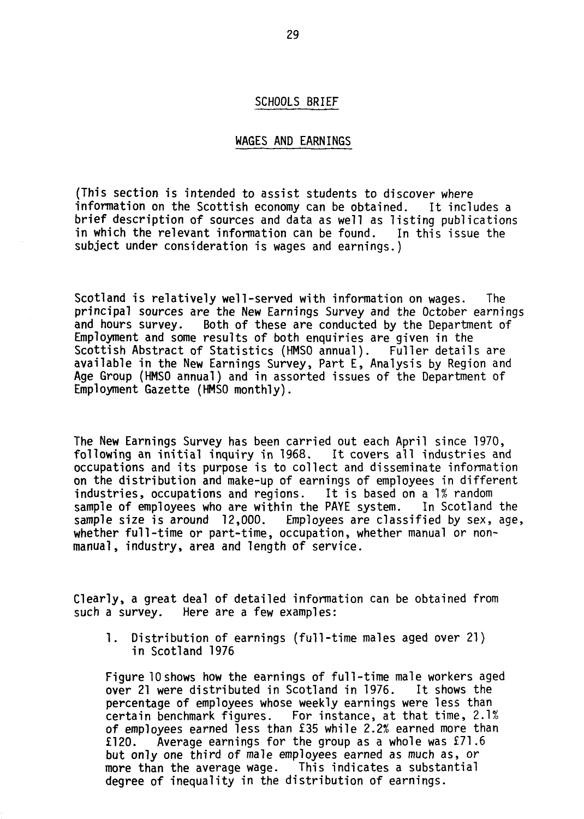## SCHOOLS BRIEF

## WAGES AND EARNINGS

(This section is intended to assist students to discover where information on the Scottish economy can be obtained. It includes a brief description of sources and data as well as listing publications in which the relevant information can be found. In this issue the subject under consideration is wages and earnings.)

Scotland is relatively well-served with information on wages. The principal sources are the New Earnings Survey and the October earnings<br>and hours survey. Both of these are conducted by the Department of Both of these are conducted by the Department of Employment and some results of both enquiries are given in the Scottish Abstract of Statistics (HMSO annual). Fuller details are available in the New Earnings Survey, Part E, Analysis by Region and Age Group (HMSO annual) and in assorted issues of the Department of Employment Gazette (HMSO monthly).

The New Earnings Survey has been carried out each April since 1970, following an initial inquiry in 1968. It covers all industries and occupations and its purpose is to collect and disseminate information on the distribution and make-up of earnings of employees in different industries, occupations and regions. It is based on a 1% random industries, occupations and regions. sample of employees who are within the PAYE system. In Scotland the sample size is around 12,000. Employees are classified by sex, age, whether full-time or part-time, occupation, whether manual or nonmanual, industry, area and length of service.

Clearly, a great deal of detailed information can be obtained from such a survey. Here are a few examples:

1. Distribution of earnings (full-time males aged over 21) in Scotland 1976

Figure 10 shows how the earnings of full-time male workers aged over 21 were distributed in Scotland in 1976. It shows the percentage of employees whose weekly earnings were less than<br>certain benchmark figures. For instance, at that time, 2.19 For instance, at that time,  $2.1%$ of employees earned less than £35 while 2.2% earned more than £120. Average earnings for the group as a whole was £71.6 but only one third of male employees earned as much as, or more than the average wage. This indicates a substantial degree of inequality in the distribution of earnings.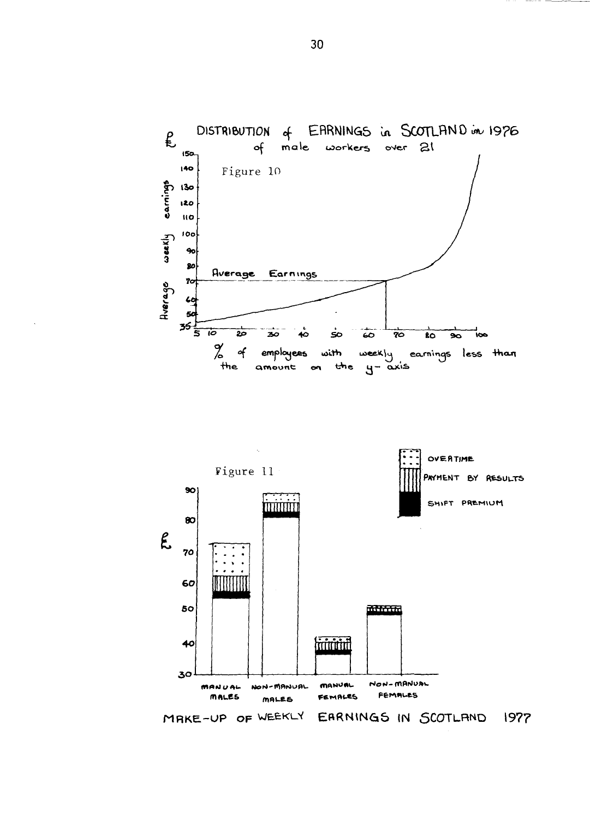



MAKE-UP OF WEEKLY EARNINGS IN SCOTLAND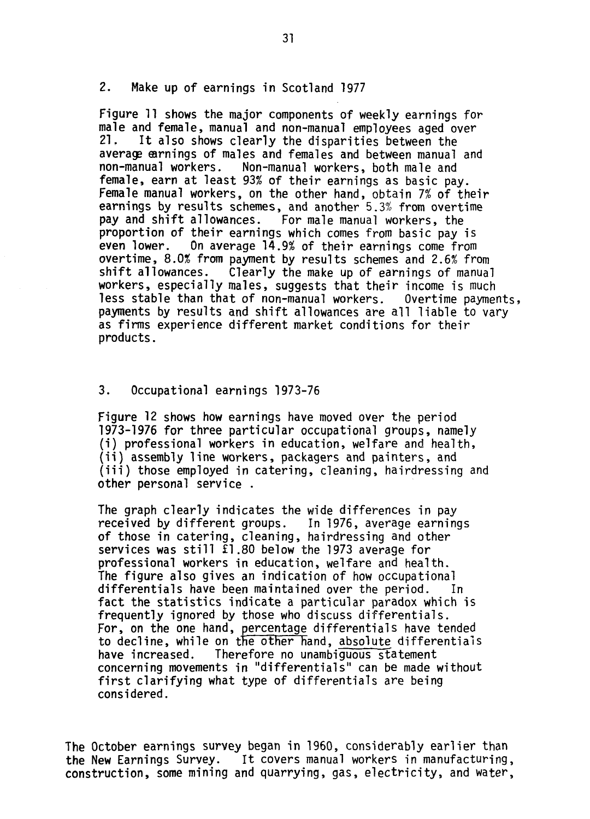## 2. Make up of earnings in Scotland 1977

Figure 11 shows the major components of weekly earnings for male and female, manual and non-manual employees aged over<br>21. It also shows clearly the disparities between the It also shows clearly the disparities between the average earnings of males and females and between manual and non-manual workers. Non-manual workers, both male and female, earn at least 93% of their earnings as basic pay. Female manual workers, on the other hand, obtain 7% of their earnings by results schemes, and another 5.3\$ from overtime pay and shift allowances. For male manual workers, the proportion of their earnings which comes from basic pay is even lower. On average 14.9% of their earnings come from overtime, 8.0% from payment by results schemes and 2.6% from shift allowances. Clearly the make up of earnings of manual workers, especially males, suggests that their income is much less stable than that of non-manual workers. Overtime payments, payments by results and shift allowances are all liable to vary as firms experience different market conditions for their products.

## 3. Occupational earnings 1973-76

Figure 12 shows how earnings have moved over the period 1973-1976 for three particular occupational groups, namely (i) professional workers in education, welfare and health, (ii) assembly line workers, packagers and painters, and (iii) those employed in catering, cleaning, hairdressing and other personal service .

The graph clearly indicates the wide differences in pay received by different groups. In 1976, average earnings of those in catering, cleaning, hairdressing and other services was still £1.80 below the 1973 average for professional workers in education, welfare and health. The figure also gives an indication of how occupational differentials have been maintained over the period. In fact the statistics indicate a particular paradox which is frequently ignored by those who discuss differentials. For, on the one hand, percentage differentials have tended to decline, while on the other hand, absolute differentials have increased. Therefore no unambiguous statement concerning movements in "differentials" can be made without first clarifying what type of differentials are being considered.

The October earnings survey began in 1960, considerably earlier than the New Earnings Survey. It covers manual workers in manufacturing, construction, some mining and quarrying, gas, electricity, and water,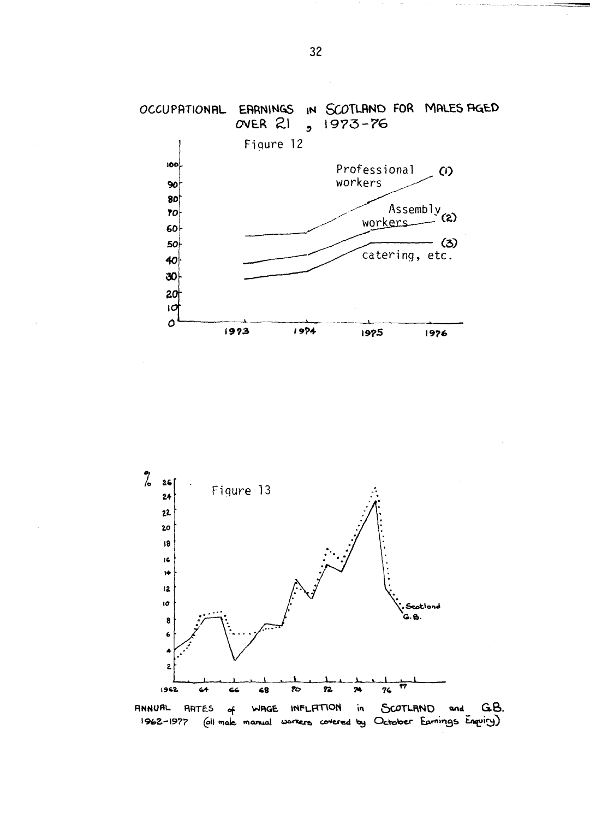



1962-1977 (all make manual workers covered by October Earnings Enquiry)